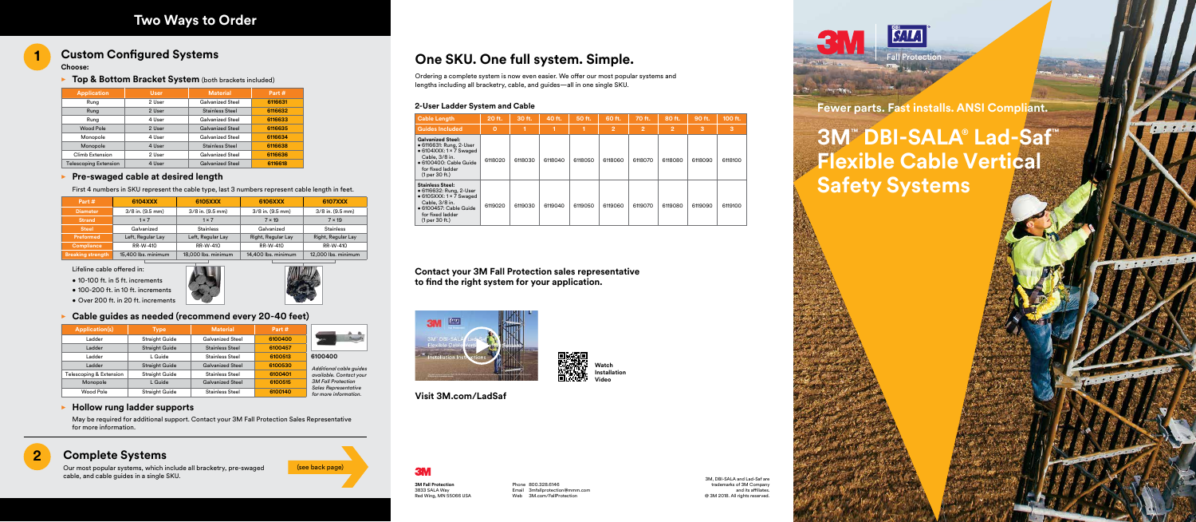



**3M Fall Protection** 3833 SALA Way Red Wing, MN 55066 USA

**3N** 

# **One SKU. One full system. Simple.**

Ordering a complete system is now even easier. We offer our most popular systems and lengths including all bracketry, cable, and guides—all in one single SKU.

| <b>Cable Length</b>                                                                                                                                                                                   | 20 ft.  | 30 ft.  | 40 ft.  | 50 ft.  | 60 ft.         | 70 ft.         | 80 ft.         | 90 ft.  | 100 ft. |
|-------------------------------------------------------------------------------------------------------------------------------------------------------------------------------------------------------|---------|---------|---------|---------|----------------|----------------|----------------|---------|---------|
| <b>Guides Included</b>                                                                                                                                                                                | O       |         |         |         | $\overline{2}$ | $\overline{2}$ | $\overline{2}$ | 3       | з       |
| <b>Galvanized Steel:</b><br>● 6116631: Rung, 2-User<br>$\bullet$ 6104XXX: 1 × 7 Swaged<br>Cable, 3/8 in.<br>• 6100400: Cable Guide<br>for fixed ladder<br>(1 <sub>per</sub> 30 <sub>ft</sub> )        | 6118020 | 6118030 | 6118040 | 6118050 | 6118060        | 6118070        | 6118080        | 6118090 | 6118100 |
| <b>Stainless Steel:</b><br>● 6116632: Rung, 2-User<br>$\bullet$ 6105XXX: 1 × 7 Swaged<br>Cable, 3/8 in.<br>$\bullet$ 6100457: Cable Guide<br>for fixed ladder<br>(1 <sub>per</sub> 30 <sub>ft</sub> ) | 6119020 | 6119030 | 6119040 | 6119050 | 6119060        | 6119070        | 6119080        | 6119090 | 6119100 |

**Watch Installation Video**

## **Visit 3M.com/LadSaf**

### **Contact your 3M Fall Protection sales representative to find the right system for your application.**





### **2-User Ladder System and Cable**

**3M™ DBI-SALA® Lad-Saf™ Flexible Cable Vertical Safety Systems**



**Fewer parts. Fast installs. ANSI Compliant.**

Lifeline cable offered in:

• 10-100 ft. in 5 ft. increments • 100-200 ft. in 10 ft. increments

• Over 200 ft. in 20 ft. increments





# **• Cable guides as needed (recommend every 20-40 feet)**

# **Custom Configured Systems**

**Choose:**

**• Top & Bottom Bracket System** (both brackets included)

## **• Pre-swaged cable at desired length**

First 4 numbers in SKU represent the cable type, last 3 numbers represent cable length in feet.

| <b>Application</b>    | User   | <b>Material</b>         | Part #  |
|-----------------------|--------|-------------------------|---------|
| Rung                  | 2 User | <b>Galvanized Steel</b> | 6116631 |
| Rung                  | 2 User | <b>Stainless Steel</b>  | 6116632 |
| Rung                  | 4 User | <b>Galvanized Steel</b> | 6116633 |
| Wood Pole             | 2 User | <b>Galvanized Steel</b> | 6116635 |
| Monopole              | 4 User | <b>Galvanized Steel</b> | 6116634 |
| Monopole              | 4 User | <b>Stainless Steel</b>  | 6116638 |
| Climb Extension       | 2 User | <b>Galvanized Steel</b> | 6116636 |
| Telescoping Extension | 4 User | <b>Galvanized Steel</b> | 6116618 |

| <b>Application(s)</b>   | <b>Type</b>           | <b>Material</b>         | Part #  |                                                      |  |
|-------------------------|-----------------------|-------------------------|---------|------------------------------------------------------|--|
| Ladder                  | <b>Straight Guide</b> | <b>Galvanized Steel</b> | 6100400 |                                                      |  |
| Ladder                  | <b>Straight Guide</b> | <b>Stainless Steel</b>  | 6100457 |                                                      |  |
| Ladder                  | L Guide               | <b>Stainless Steel</b>  | 6100513 | 6100400                                              |  |
| Ladder                  | <b>Straight Guide</b> | <b>Galvanized Steel</b> | 6100530 | <b>Additional cable guides</b>                       |  |
| Telescoping & Extension | <b>Straight Guide</b> | <b>Stainless Steel</b>  | 6100401 | available. Contact your<br><b>3M Fall Protection</b> |  |
| Monopole                | L Guide               | <b>Galvanized Steel</b> | 6100515 |                                                      |  |
| Wood Pole               | <b>Straight Guide</b> | <b>Stainless Steel</b>  | 6100140 | <b>Sales Representative</b><br>for more information. |  |

| Part #                   | 6104XXX              | 6105XXX             | 6106XXX              | 6107XXX             |  |
|--------------------------|----------------------|---------------------|----------------------|---------------------|--|
| <b>Diameter</b>          | $3/8$ in. $(9.5$ mm) | 3/8 in. (9.5 mm)    | $3/8$ in. $(9.5$ mm) | 3/8 in. (9.5 mm)    |  |
| <b>Strand</b>            | $1 \times 7$         | $1 \times 7$        | $7 \times 19$        | $7 \times 19$       |  |
| <b>Steel</b>             | Galvanized           | <b>Stainless</b>    | Galvanized           | <b>Stainless</b>    |  |
| Preformed                | Left, Regular Lay    | Left, Regular Lay   | Right, Regular Lay   | Right, Regular Lay  |  |
| <b>Compliance</b>        | RR-W-410             | RR-W-410            | RR-W-410             | RR-W-410            |  |
| <b>Breaking strength</b> | 15,400 lbs. minimum  | 18,000 lbs. minimum | 14,400 lbs. minimum  | 12,000 lbs. minimum |  |

# **Complete Systems**

Our most popular systems, which include all bracketry, pre-swaged cable, and cable guides in a single SKU.

**2**



## **• Hollow rung ladder supports**

May be required for additional support. Contact your 3M Fall Protection Sales Representative for more information.